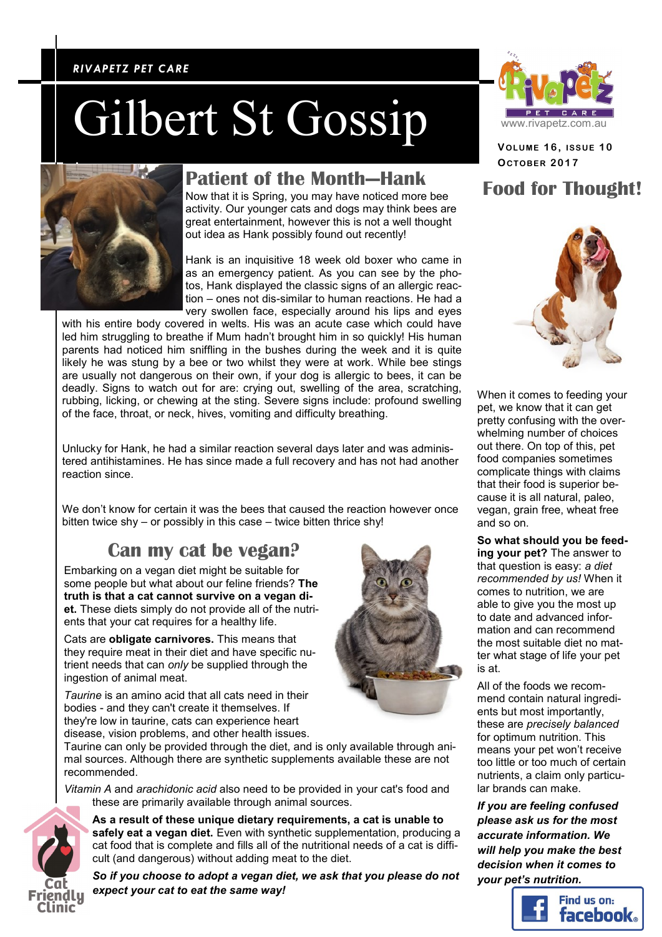### *RIVAPETZ PET CARE RIVAPETZ PET CARE*

# Gilbert St Gossip



### **Patient of the Month—Hank**

Now that it is Spring, you may have noticed more bee activity. Our younger cats and dogs may think bees are great entertainment, however this is not a well thought out idea as Hank possibly found out recently!

Hank is an inquisitive 18 week old boxer who came in as an emergency patient. As you can see by the photos, Hank displayed the classic signs of an allergic reaction – ones not dis-similar to human reactions. He had a very swollen face, especially around his lips and eyes

with his entire body covered in welts. His was an acute case which could have led him struggling to breathe if Mum hadn't brought him in so quickly! His human parents had noticed him sniffling in the bushes during the week and it is quite likely he was stung by a bee or two whilst they were at work. While bee stings are usually not dangerous on their own, if your dog is allergic to bees, it can be deadly. Signs to watch out for are: crying out, swelling of the area, scratching, rubbing, licking, or chewing at the sting. Severe signs include: profound swelling of the face, throat, or neck, hives, vomiting and difficulty breathing.

Unlucky for Hank, he had a similar reaction several days later and was administered antihistamines. He has since made a full recovery and has not had another reaction since.

We don't know for certain it was the bees that caused the reaction however once bitten twice shy – or possibly in this case – twice bitten thrice shy!

### **Can my cat be vegan?**

Embarking on a vegan diet might be suitable for some people but what about our feline friends? **The truth is that a cat cannot survive on a vegan diet.** These diets simply do not provide all of the nutrients that your cat requires for a healthy life.

Cats are **obligate carnivores.** This means that they require meat in their diet and have specific nutrient needs that can *only* be supplied through the ingestion of animal meat.

*Taurine* is an amino acid that all cats need in their bodies - and they can't create it themselves. If they're low in taurine, cats can experience heart disease, vision problems, and other health issues.

Taurine can only be provided through the diet, and is only available through animal sources. Although there are synthetic supplements available these are not recommended.

*Vitamin A* and *arachidonic acid* also need to be provided in your cat's food and these are primarily available through animal sources.



**As a result of these unique dietary requirements, a cat is unable to safely eat a vegan diet.** Even with synthetic supplementation, producing a cat food that is complete and fills all of the nutritional needs of a cat is difficult (and dangerous) without adding meat to the diet.

*So if you choose to adopt a vegan diet, we ask that you please do not expect your cat to eat the same way!*



**VOLUME 1 6 , ISSUE 1 0 OCTOBE R 2017**

## **Food for Thought!**



When it comes to feeding your pet, we know that it can get pretty confusing with the overwhelming number of choices out there. On top of this, pet food companies sometimes complicate things with claims that their food is superior because it is all natural, paleo, vegan, grain free, wheat free and so on.

**So what should you be feeding your pet?** The answer to that question is easy: *a diet recommended by us!* When it comes to nutrition, we are able to give you the most up to date and advanced information and can recommend the most suitable diet no matter what stage of life your pet

is at. All of the foods we recommend contain natural ingredients but most importantly, these are *precisely balanced* for optimum nutrition. This means your pet won't receive too little or too much of certain nutrients, a claim only particular brands can make.

*If you are feeling confused please ask us for the most accurate information. We will help you make the best decision when it comes to your pet's nutrition.*